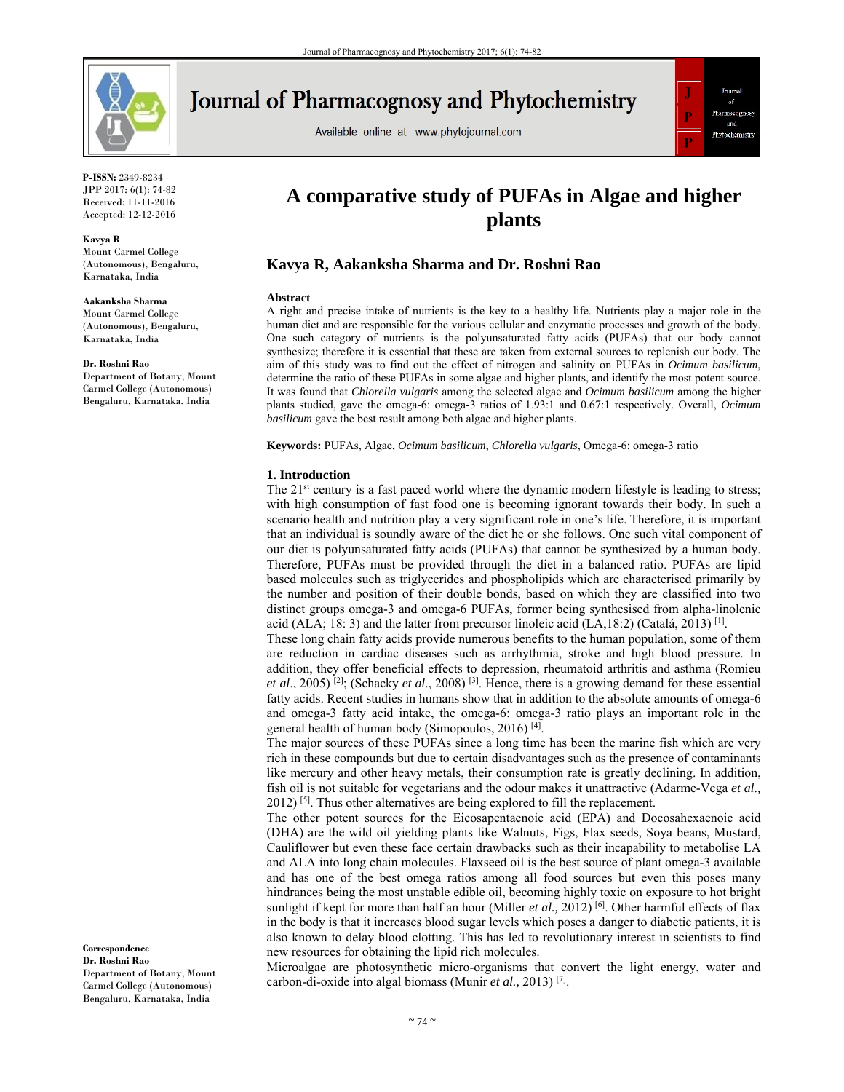

# **Journal of Pharmacognosy and Phytochemistry**

Available online at www.phytojournal.com



**P-ISSN:** 2349-8234 JPP 2017; 6(1): 74-82 Received: 11-11-2016 Accepted: 12-12-2016

**Kavya R**  Mount Carmel College

(Autonomous), Bengaluru, Karnataka, India

**Aakanksha Sharma** 

Mount Carmel College (Autonomous), Bengaluru, Karnataka, India

**Dr. Roshni Rao** 

Department of Botany, Mount Carmel College (Autonomous) Bengaluru, Karnataka, India

**Correspondence Dr. Roshni Rao** 

Department of Botany, Mount Carmel College (Autonomous) Bengaluru, Karnataka, India

## **A comparative study of PUFAs in Algae and higher plants**

## **Kavya R, Aakanksha Sharma and Dr. Roshni Rao**

#### **Abstract**

A right and precise intake of nutrients is the key to a healthy life. Nutrients play a major role in the human diet and are responsible for the various cellular and enzymatic processes and growth of the body. One such category of nutrients is the polyunsaturated fatty acids (PUFAs) that our body cannot synthesize; therefore it is essential that these are taken from external sources to replenish our body. The aim of this study was to find out the effect of nitrogen and salinity on PUFAs in *Ocimum basilicum*, determine the ratio of these PUFAs in some algae and higher plants, and identify the most potent source. It was found that *Chlorella vulgaris* among the selected algae and *Ocimum basilicum* among the higher plants studied, gave the omega-6: omega-3 ratios of 1.93:1 and 0.67:1 respectively. Overall, *Ocimum basilicum* gave the best result among both algae and higher plants.

**Keywords:** PUFAs, Algae, *Ocimum basilicum*, *Chlorella vulgaris*, Omega-6: omega-3 ratio

## **1. Introduction**

The 21<sup>st</sup> century is a fast paced world where the dynamic modern lifestyle is leading to stress; with high consumption of fast food one is becoming ignorant towards their body. In such a scenario health and nutrition play a very significant role in one's life. Therefore, it is important that an individual is soundly aware of the diet he or she follows. One such vital component of our diet is polyunsaturated fatty acids (PUFAs) that cannot be synthesized by a human body. Therefore, PUFAs must be provided through the diet in a balanced ratio. PUFAs are lipid based molecules such as triglycerides and phospholipids which are characterised primarily by the number and position of their double bonds, based on which they are classified into two distinct groups omega-3 and omega-6 PUFAs, former being synthesised from alpha-linolenic acid (ALA; 18: 3) and the latter from precursor linoleic acid (LA,18:2) (Catalá, 2013)<sup>[1]</sup>.

These long chain fatty acids provide numerous benefits to the human population, some of them are reduction in cardiac diseases such as arrhythmia, stroke and high blood pressure. In addition, they offer beneficial effects to depression, rheumatoid arthritis and asthma (Romieu *et al*., 2005) [2]; (Schacky *et al*., 2008) [3]. Hence, there is a growing demand for these essential fatty acids. Recent studies in humans show that in addition to the absolute amounts of omega-6 and omega-3 fatty acid intake, the omega-6: omega-3 ratio plays an important role in the general health of human body (Simopoulos, 2016) [4].

The major sources of these PUFAs since a long time has been the marine fish which are very rich in these compounds but due to certain disadvantages such as the presence of contaminants like mercury and other heavy metals, their consumption rate is greatly declining. In addition, fish oil is not suitable for vegetarians and the odour makes it unattractive (Adarme-Vega *et al.,*   $2012$ ) <sup>[5]</sup>. Thus other alternatives are being explored to fill the replacement.

The other potent sources for the Eicosapentaenoic acid (EPA) and Docosahexaenoic acid (DHA) are the wild oil yielding plants like Walnuts, Figs, Flax seeds, Soya beans, Mustard, Cauliflower but even these face certain drawbacks such as their incapability to metabolise LA and ALA into long chain molecules. Flaxseed oil is the best source of plant omega-3 available and has one of the best omega ratios among all food sources but even this poses many hindrances being the most unstable edible oil, becoming highly toxic on exposure to hot bright sunlight if kept for more than half an hour (Miller et al., 2012)<sup>[6]</sup>. Other harmful effects of flax in the body is that it increases blood sugar levels which poses a danger to diabetic patients, it is also known to delay blood clotting. This has led to revolutionary interest in scientists to find new resources for obtaining the lipid rich molecules.

Microalgae are photosynthetic micro-organisms that convert the light energy, water and carbon-di-oxide into algal biomass (Munir *et al.,* 2013) [7].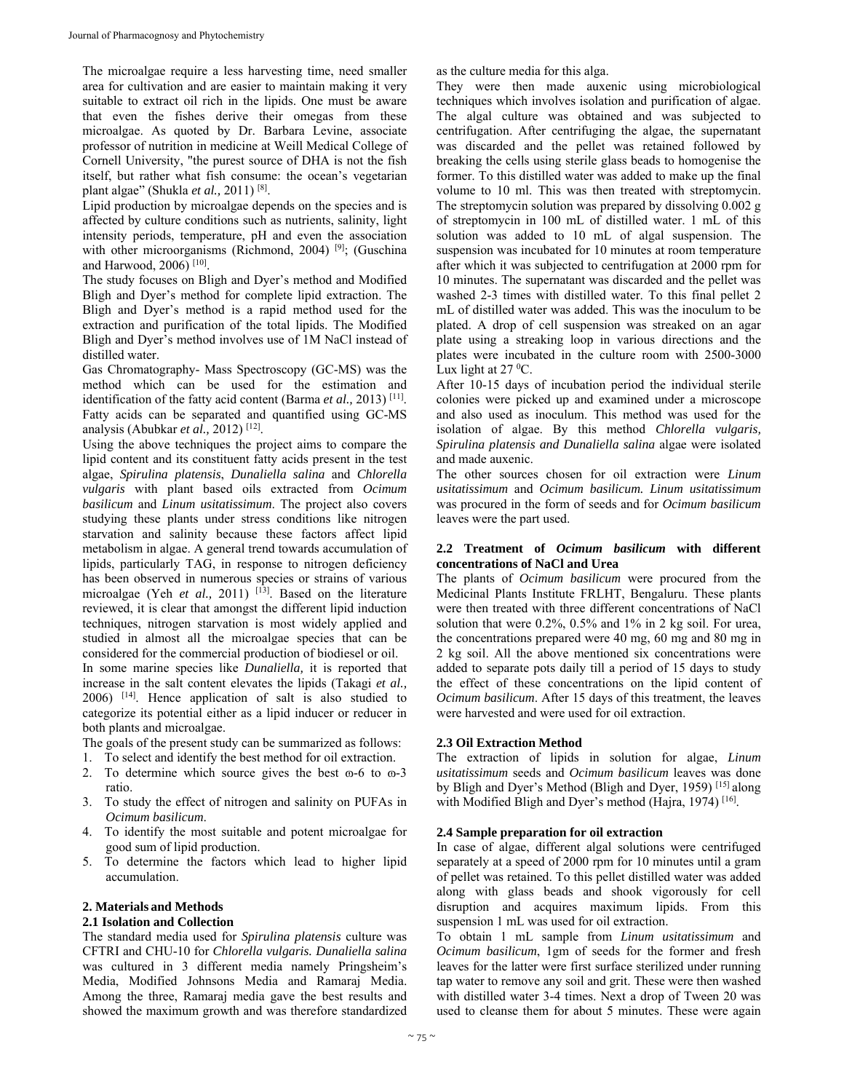The microalgae require a less harvesting time, need smaller area for cultivation and are easier to maintain making it very suitable to extract oil rich in the lipids. One must be aware that even the fishes derive their omegas from these microalgae. As quoted by Dr. Barbara Levine, associate professor of nutrition in medicine at Weill Medical College of Cornell University, "the purest source of DHA is not the fish itself, but rather what fish consume: the ocean's vegetarian plant algae" (Shukla *et al.,* 2011) [8].

Lipid production by microalgae depends on the species and is affected by culture conditions such as nutrients, salinity, light intensity periods, temperature, pH and even the association with other microorganisms (Richmond, 2004) <sup>[9]</sup>; (Guschina and Harwood, 2006) [10].

The study focuses on Bligh and Dyer's method and Modified Bligh and Dyer's method for complete lipid extraction. The Bligh and Dyer's method is a rapid method used for the extraction and purification of the total lipids. The Modified Bligh and Dyer's method involves use of 1M NaCl instead of distilled water.

Gas Chromatography- Mass Spectroscopy (GC-MS) was the method which can be used for the estimation and identification of the fatty acid content (Barma *et al.,* 2013) [11]. Fatty acids can be separated and quantified using GC-MS analysis (Abubkar *et al.,* 2012) [12].

Using the above techniques the project aims to compare the lipid content and its constituent fatty acids present in the test algae, *Spirulina platensis*, *Dunaliella salina* and *Chlorella vulgaris* with plant based oils extracted from *Ocimum basilicum* and *Linum usitatissimum*. The project also covers studying these plants under stress conditions like nitrogen starvation and salinity because these factors affect lipid metabolism in algae. A general trend towards accumulation of lipids, particularly TAG, in response to nitrogen deficiency has been observed in numerous species or strains of various microalgae (Yeh et al., 2011) <sup>[13]</sup>. Based on the literature reviewed, it is clear that amongst the different lipid induction techniques, nitrogen starvation is most widely applied and studied in almost all the microalgae species that can be considered for the commercial production of biodiesel or oil. In some marine species like *Dunaliella,* it is reported that increase in the salt content elevates the lipids (Takagi *et al.,* 2006) [14]. Hence application of salt is also studied to

categorize its potential either as a lipid inducer or reducer in both plants and microalgae.

The goals of the present study can be summarized as follows:

- 1. To select and identify the best method for oil extraction.
- 2. To determine which source gives the best  $\infty$ -6 to  $\infty$ -3 ratio.
- 3. To study the effect of nitrogen and salinity on PUFAs in *Ocimum basilicum*.
- 4. To identify the most suitable and potent microalgae for good sum of lipid production.
- 5. To determine the factors which lead to higher lipid accumulation.

### **2. Materials and Methods**

### **2.1 Isolation and Collection**

The standard media used for *Spirulina platensis* culture was CFTRI and CHU-10 for *Chlorella vulgaris. Dunaliella salina*  was cultured in 3 different media namely Pringsheim's Media, Modified Johnsons Media and Ramaraj Media. Among the three, Ramaraj media gave the best results and showed the maximum growth and was therefore standardized

as the culture media for this alga.

They were then made auxenic using microbiological techniques which involves isolation and purification of algae. The algal culture was obtained and was subjected to centrifugation. After centrifuging the algae, the supernatant was discarded and the pellet was retained followed by breaking the cells using sterile glass beads to homogenise the former. To this distilled water was added to make up the final volume to 10 ml. This was then treated with streptomycin. The streptomycin solution was prepared by dissolving 0.002 g of streptomycin in 100 mL of distilled water. 1 mL of this solution was added to 10 mL of algal suspension. The suspension was incubated for 10 minutes at room temperature after which it was subjected to centrifugation at 2000 rpm for 10 minutes. The supernatant was discarded and the pellet was washed 2-3 times with distilled water. To this final pellet 2 mL of distilled water was added. This was the inoculum to be plated. A drop of cell suspension was streaked on an agar plate using a streaking loop in various directions and the plates were incubated in the culture room with 2500-3000 Lux light at  $27^{\circ}$ C.

After 10-15 days of incubation period the individual sterile colonies were picked up and examined under a microscope and also used as inoculum. This method was used for the isolation of algae. By this method *Chlorella vulgaris, Spirulina platensis and Dunaliella salina* algae were isolated and made auxenic.

The other sources chosen for oil extraction were *Linum usitatissimum* and *Ocimum basilicum. Linum usitatissimum* was procured in the form of seeds and for *Ocimum basilicum* leaves were the part used.

## **2.2 Treatment of** *Ocimum basilicum* **with different concentrations of NaCl and Urea**

The plants of *Ocimum basilicum* were procured from the Medicinal Plants Institute FRLHT, Bengaluru. These plants were then treated with three different concentrations of NaCl solution that were 0.2%, 0.5% and 1% in 2 kg soil. For urea, the concentrations prepared were 40 mg, 60 mg and 80 mg in 2 kg soil. All the above mentioned six concentrations were added to separate pots daily till a period of 15 days to study the effect of these concentrations on the lipid content of *Ocimum basilicum*. After 15 days of this treatment, the leaves were harvested and were used for oil extraction.

## **2.3 Oil Extraction Method**

The extraction of lipids in solution for algae, *Linum usitatissimum* seeds and *Ocimum basilicum* leaves was done by Bligh and Dyer's Method (Bligh and Dyer, 1959)<sup>[15]</sup> along with Modified Bligh and Dyer's method (Hajra, 1974)<sup>[16]</sup>.

#### **2.4 Sample preparation for oil extraction**

In case of algae, different algal solutions were centrifuged separately at a speed of 2000 rpm for 10 minutes until a gram of pellet was retained. To this pellet distilled water was added along with glass beads and shook vigorously for cell disruption and acquires maximum lipids. From this suspension 1 mL was used for oil extraction.

To obtain 1 mL sample from *Linum usitatissimum* and *Ocimum basilicum*, 1gm of seeds for the former and fresh leaves for the latter were first surface sterilized under running tap water to remove any soil and grit. These were then washed with distilled water 3-4 times. Next a drop of Tween 20 was used to cleanse them for about 5 minutes. These were again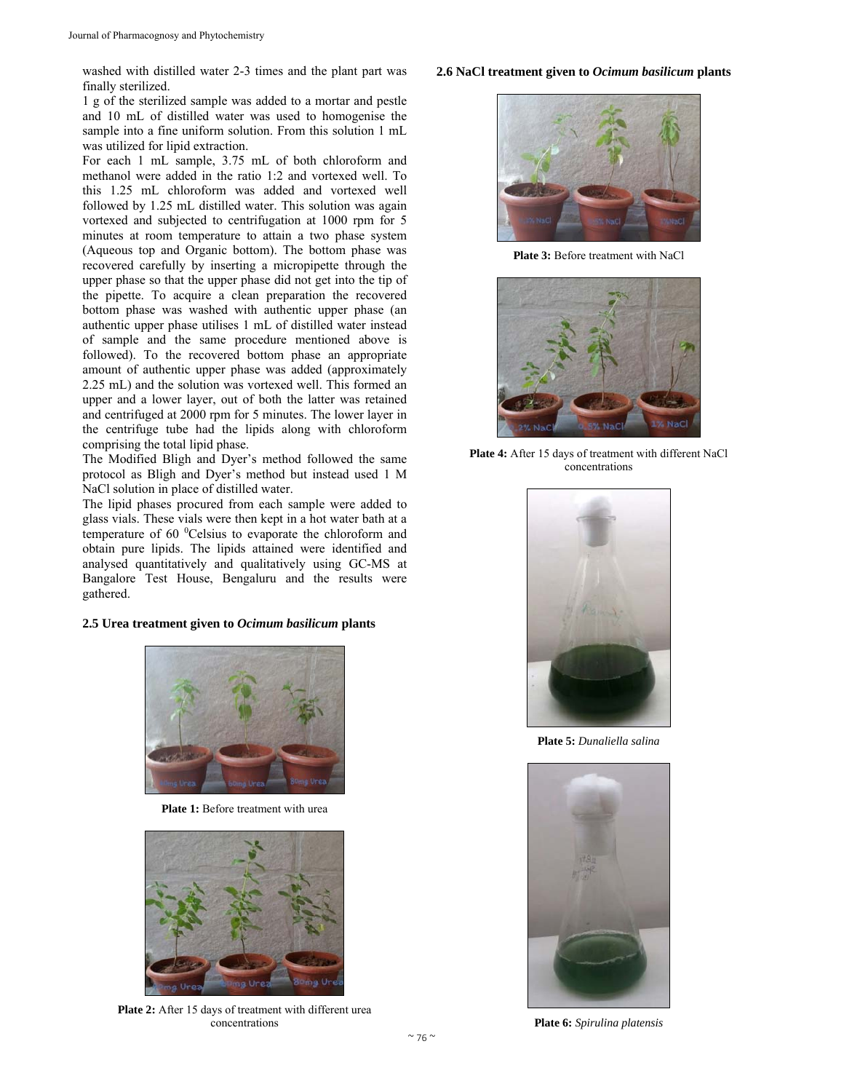washed with distilled water 2-3 times and the plant part was finally sterilized.

1 g of the sterilized sample was added to a mortar and pestle and 10 mL of distilled water was used to homogenise the sample into a fine uniform solution. From this solution 1 mL was utilized for lipid extraction.

For each 1 mL sample, 3.75 mL of both chloroform and methanol were added in the ratio 1:2 and vortexed well. To this 1.25 mL chloroform was added and vortexed well followed by 1.25 mL distilled water. This solution was again vortexed and subjected to centrifugation at 1000 rpm for 5 minutes at room temperature to attain a two phase system (Aqueous top and Organic bottom). The bottom phase was recovered carefully by inserting a micropipette through the upper phase so that the upper phase did not get into the tip of the pipette. To acquire a clean preparation the recovered bottom phase was washed with authentic upper phase (an authentic upper phase utilises 1 mL of distilled water instead of sample and the same procedure mentioned above is followed). To the recovered bottom phase an appropriate amount of authentic upper phase was added (approximately 2.25 mL) and the solution was vortexed well. This formed an upper and a lower layer, out of both the latter was retained and centrifuged at 2000 rpm for 5 minutes. The lower layer in the centrifuge tube had the lipids along with chloroform comprising the total lipid phase.

The Modified Bligh and Dyer's method followed the same protocol as Bligh and Dyer's method but instead used 1 M NaCl solution in place of distilled water.

The lipid phases procured from each sample were added to glass vials. These vials were then kept in a hot water bath at a temperature of 60 <sup>0</sup>Celsius to evaporate the chloroform and obtain pure lipids. The lipids attained were identified and analysed quantitatively and qualitatively using GC-MS at Bangalore Test House, Bengaluru and the results were gathered.

## **2.5 Urea treatment given to** *Ocimum basilicum* **plants**



**Plate 1:** Before treatment with urea



Plate 2: After 15 days of treatment with different urea concentrations

#### **2.6 NaCl treatment given to** *Ocimum basilicum* **plants**



**Plate 3:** Before treatment with NaCl



**Plate 4:** After 15 days of treatment with different NaCl concentrations



**Plate 5:** *Dunaliella salina* 



**Plate 6:** *Spirulina platensis*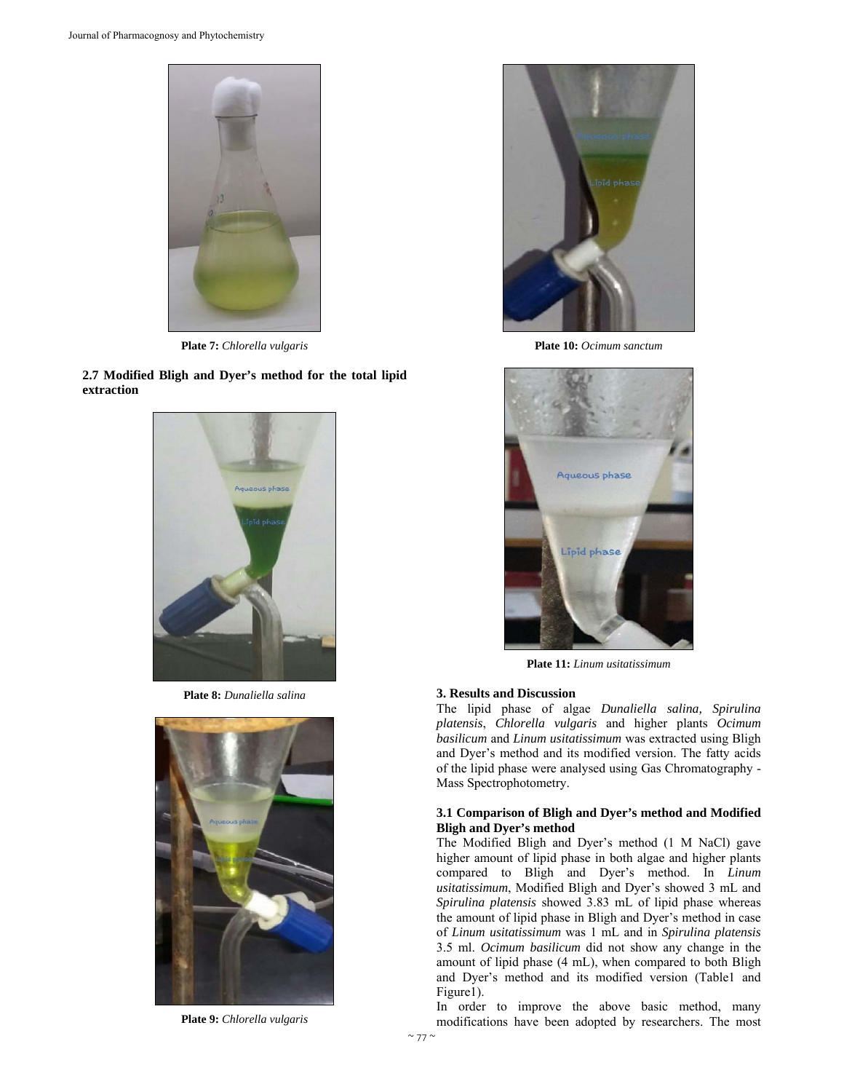

**Plate 7:** *Chlorella vulgaris*

**2.7 Modified Bligh and Dyer's method for the total lipid extraction** 



**Plate 8:** *Dunaliella salina*



**Plate 9:** *Chlorella vulgaris*



**Plate 10:** *Ocimum sanctum*



**Plate 11:** *Linum usitatissimum*

## **3. Results and Discussion**

The lipid phase of algae *Dunaliella salina, Spirulina platensis*, *Chlorella vulgaris* and higher plants *Ocimum basilicum* and *Linum usitatissimum* was extracted using Bligh and Dyer's method and its modified version. The fatty acids of the lipid phase were analysed using Gas Chromatography - Mass Spectrophotometry.

## **3.1 Comparison of Bligh and Dyer's method and Modified Bligh and Dyer's method**

The Modified Bligh and Dyer's method (1 M NaCl) gave higher amount of lipid phase in both algae and higher plants compared to Bligh and Dyer's method. In *Linum usitatissimum*, Modified Bligh and Dyer's showed 3 mL and *Spirulina platensis* showed 3.83 mL of lipid phase whereas the amount of lipid phase in Bligh and Dyer's method in case of *Linum usitatissimum* was 1 mL and in *Spirulina platensis* 3.5 ml. *Ocimum basilicum* did not show any change in the amount of lipid phase (4 mL), when compared to both Bligh and Dyer's method and its modified version (Table1 and Figure1).

In order to improve the above basic method, many modifications have been adopted by researchers. The most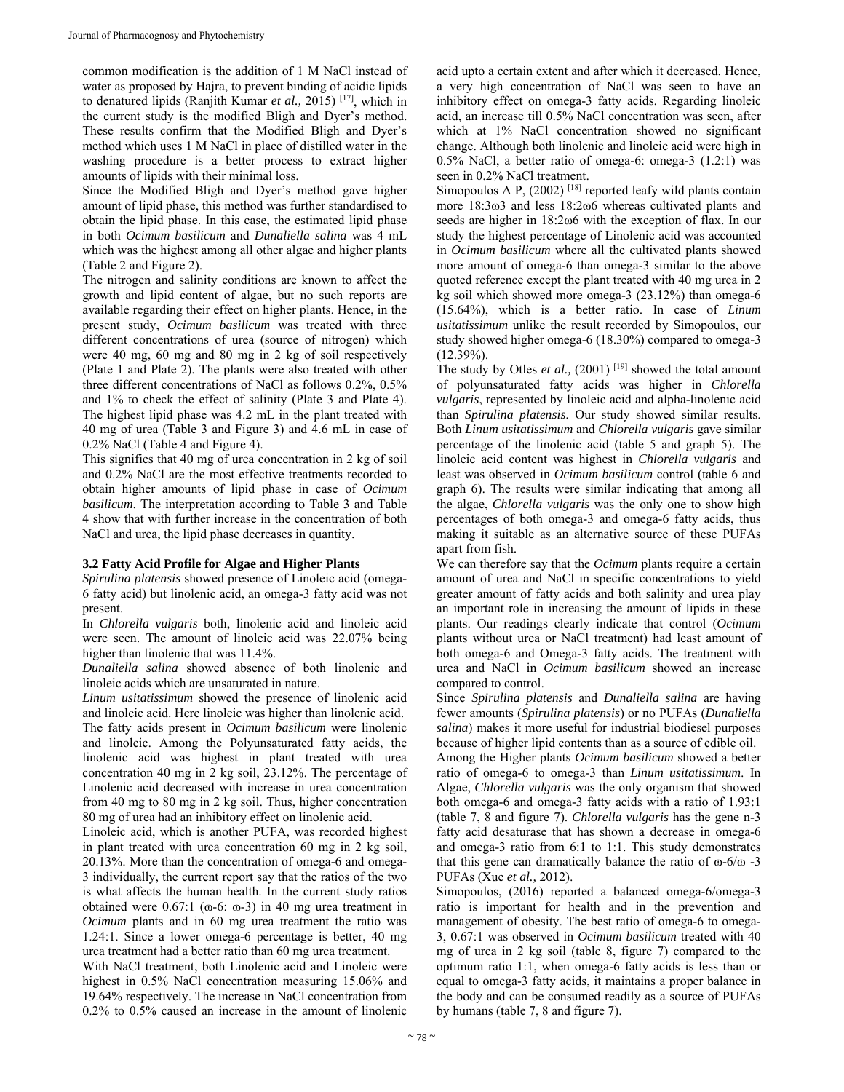common modification is the addition of 1 M NaCl instead of water as proposed by Hajra, to prevent binding of acidic lipids to denatured lipids (Ranjith Kumar *et al.,* 2015) [17], which in the current study is the modified Bligh and Dyer's method. These results confirm that the Modified Bligh and Dyer's method which uses 1 M NaCl in place of distilled water in the washing procedure is a better process to extract higher amounts of lipids with their minimal loss.

Since the Modified Bligh and Dyer's method gave higher amount of lipid phase, this method was further standardised to obtain the lipid phase. In this case, the estimated lipid phase in both *Ocimum basilicum* and *Dunaliella salina* was 4 mL which was the highest among all other algae and higher plants (Table 2 and Figure 2).

The nitrogen and salinity conditions are known to affect the growth and lipid content of algae, but no such reports are available regarding their effect on higher plants. Hence, in the present study, *Ocimum basilicum* was treated with three different concentrations of urea (source of nitrogen) which were 40 mg, 60 mg and 80 mg in 2 kg of soil respectively (Plate 1 and Plate 2). The plants were also treated with other three different concentrations of NaCl as follows 0.2%, 0.5% and 1% to check the effect of salinity (Plate 3 and Plate 4). The highest lipid phase was 4.2 mL in the plant treated with 40 mg of urea (Table 3 and Figure 3) and 4.6 mL in case of 0.2% NaCl (Table 4 and Figure 4).

This signifies that 40 mg of urea concentration in 2 kg of soil and 0.2% NaCl are the most effective treatments recorded to obtain higher amounts of lipid phase in case of *Ocimum basilicum*. The interpretation according to Table 3 and Table 4 show that with further increase in the concentration of both NaCl and urea, the lipid phase decreases in quantity.

#### **3.2 Fatty Acid Profile for Algae and Higher Plants**

*Spirulina platensis* showed presence of Linoleic acid (omega-6 fatty acid) but linolenic acid, an omega-3 fatty acid was not present.

In *Chlorella vulgaris* both, linolenic acid and linoleic acid were seen. The amount of linoleic acid was 22.07% being higher than linolenic that was 11.4%.

*Dunaliella salina* showed absence of both linolenic and linoleic acids which are unsaturated in nature.

*Linum usitatissimum* showed the presence of linolenic acid and linoleic acid. Here linoleic was higher than linolenic acid.

The fatty acids present in *Ocimum basilicum* were linolenic and linoleic. Among the Polyunsaturated fatty acids, the linolenic acid was highest in plant treated with urea concentration 40 mg in 2 kg soil, 23.12%. The percentage of Linolenic acid decreased with increase in urea concentration from 40 mg to 80 mg in 2 kg soil. Thus, higher concentration 80 mg of urea had an inhibitory effect on linolenic acid.

Linoleic acid, which is another PUFA, was recorded highest in plant treated with urea concentration 60 mg in 2 kg soil, 20.13%. More than the concentration of omega-6 and omega-3 individually, the current report say that the ratios of the two is what affects the human health. In the current study ratios obtained were  $0.67:1$  ( $\omega$ -6:  $\omega$ -3) in 40 mg urea treatment in *Ocimum* plants and in 60 mg urea treatment the ratio was 1.24:1. Since a lower omega-6 percentage is better, 40 mg urea treatment had a better ratio than 60 mg urea treatment.

With NaCl treatment, both Linolenic acid and Linoleic were highest in 0.5% NaCl concentration measuring 15.06% and 19.64% respectively. The increase in NaCl concentration from 0.2% to 0.5% caused an increase in the amount of linolenic acid upto a certain extent and after which it decreased. Hence, a very high concentration of NaCl was seen to have an inhibitory effect on omega-3 fatty acids. Regarding linoleic acid, an increase till 0.5% NaCl concentration was seen, after which at 1% NaCl concentration showed no significant change. Although both linolenic and linoleic acid were high in 0.5% NaCl, a better ratio of omega-6: omega-3 (1.2:1) was seen in 0.2% NaCl treatment.

Simopoulos A P,  $(2002)$ <sup>[18]</sup> reported leafy wild plants contain more 18:3ω3 and less 18:2ω6 whereas cultivated plants and seeds are higher in 18:2ω6 with the exception of flax. In our study the highest percentage of Linolenic acid was accounted in *Ocimum basilicum* where all the cultivated plants showed more amount of omega-6 than omega-3 similar to the above quoted reference except the plant treated with 40 mg urea in 2 kg soil which showed more omega-3 (23.12%) than omega-6 (15.64%), which is a better ratio. In case of *Linum usitatissimum* unlike the result recorded by Simopoulos, our study showed higher omega-6 (18.30%) compared to omega-3 (12.39%).

The study by Otles *et al.*, (2001)<sup>[19]</sup> showed the total amount of polyunsaturated fatty acids was higher in *Chlorella vulgaris*, represented by linoleic acid and alpha-linolenic acid than *Spirulina platensis*. Our study showed similar results. Both *Linum usitatissimum* and *Chlorella vulgaris* gave similar percentage of the linolenic acid (table 5 and graph 5). The linoleic acid content was highest in *Chlorella vulgaris* and least was observed in *Ocimum basilicum* control (table 6 and graph 6). The results were similar indicating that among all the algae, *Chlorella vulgaris* was the only one to show high percentages of both omega-3 and omega-6 fatty acids, thus making it suitable as an alternative source of these PUFAs apart from fish.

We can therefore say that the *Ocimum* plants require a certain amount of urea and NaCl in specific concentrations to yield greater amount of fatty acids and both salinity and urea play an important role in increasing the amount of lipids in these plants. Our readings clearly indicate that control (*Ocimum* plants without urea or NaCl treatment) had least amount of both omega-6 and Omega-3 fatty acids. The treatment with urea and NaCl in *Ocimum basilicum* showed an increase compared to control.

Since *Spirulina platensis* and *Dunaliella salina* are having fewer amounts (*Spirulina platensis*) or no PUFAs (*Dunaliella salina*) makes it more useful for industrial biodiesel purposes because of higher lipid contents than as a source of edible oil.

Among the Higher plants *Ocimum basilicum* showed a better ratio of omega-6 to omega-3 than *Linum usitatissimum*. In Algae, *Chlorella vulgaris* was the only organism that showed both omega-6 and omega-3 fatty acids with a ratio of 1.93:1 (table 7, 8 and figure 7). *Chlorella vulgaris* has the gene n-3 fatty acid desaturase that has shown a decrease in omega-6 and omega-3 ratio from 6:1 to 1:1. This study demonstrates that this gene can dramatically balance the ratio of  $\omega$ -6/ $\omega$ -3 PUFAs (Xue *et al.,* 2012).

Simopoulos, (2016) reported a balanced omega-6/omega-3 ratio is important for health and in the prevention and management of obesity. The best ratio of omega-6 to omega-3, 0.67:1 was observed in *Ocimum basilicum* treated with 40 mg of urea in 2 kg soil (table 8, figure 7) compared to the optimum ratio 1:1, when omega-6 fatty acids is less than or equal to omega-3 fatty acids, it maintains a proper balance in the body and can be consumed readily as a source of PUFAs by humans (table 7, 8 and figure 7).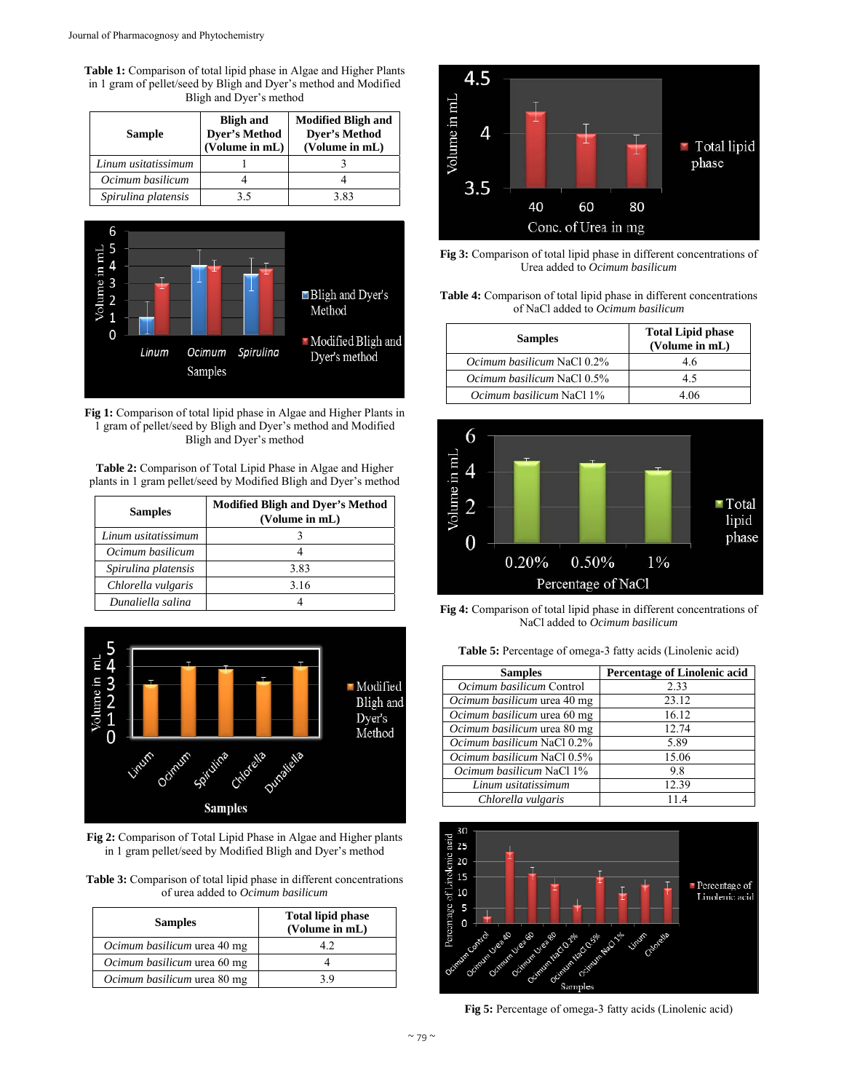**Table 1:** Comparison of total lipid phase in Algae and Higher Plants in 1 gram of pellet/seed by Bligh and Dyer's method and Modified Bligh and Dyer's method

| Sample              | <b>Bligh and</b><br><b>Dyer's Method</b><br>(Volume in mL) | <b>Modified Bligh and</b><br><b>Dyer's Method</b><br>(Volume in mL) |
|---------------------|------------------------------------------------------------|---------------------------------------------------------------------|
| Linum usitatissimum |                                                            |                                                                     |
| Ocimum basilicum    |                                                            |                                                                     |
| Spirulina platensis | 3.5                                                        | 3.83                                                                |



**Fig 1:** Comparison of total lipid phase in Algae and Higher Plants in 1 gram of pellet/seed by Bligh and Dyer's method and Modified Bligh and Dyer's method

**Table 2:** Comparison of Total Lipid Phase in Algae and Higher plants in 1 gram pellet/seed by Modified Bligh and Dyer's method

| <b>Samples</b>      | <b>Modified Bligh and Dyer's Method</b><br>(Volume in mL) |
|---------------------|-----------------------------------------------------------|
| Linum usitatissimum |                                                           |
| Ocimum basilicum    |                                                           |
| Spirulina platensis | 3.83                                                      |
| Chlorella vulgaris  | 3.16                                                      |
| Dunaliella salina   |                                                           |



**Fig 2:** Comparison of Total Lipid Phase in Algae and Higher plants in 1 gram pellet/seed by Modified Bligh and Dyer's method

| <b>Table 3:</b> Comparison of total lipid phase in different concentrations |
|-----------------------------------------------------------------------------|
| of urea added to <i>Ocimum basilicum</i>                                    |

| <b>Samples</b>              | <b>Total lipid phase</b><br>(Volume in mL) |  |
|-----------------------------|--------------------------------------------|--|
| Ocimum basilicum urea 40 mg |                                            |  |
| Ocimum basilicum urea 60 mg |                                            |  |
| Ocimum basilicum urea 80 mg | 3 Q                                        |  |



**Fig 3:** Comparison of total lipid phase in different concentrations of Urea added to *Ocimum basilicum*

| <b>Table 4:</b> Comparison of total lipid phase in different concentrations |
|-----------------------------------------------------------------------------|
| of NaCl added to <i>Ocimum basilicum</i>                                    |

| <b>Samples</b>                    | <b>Total Lipid phase</b><br>(Volume in mL) |  |
|-----------------------------------|--------------------------------------------|--|
| <i>Ocimum basilicum</i> NaCl 0.2% | 4.6                                        |  |
| <i>Ocimum basilicum</i> NaCl 0.5% | 4.5                                        |  |
| <i>Ocimum basilicum</i> NaCl 1%   | 4.06                                       |  |



**Fig 4:** Comparison of total lipid phase in different concentrations of NaCl added to *Ocimum basilicum*

| Table 5: Percentage of omega-3 fatty acids (Linolenic acid) |  |  |  |
|-------------------------------------------------------------|--|--|--|
|-------------------------------------------------------------|--|--|--|

| <b>Samples</b>                    | <b>Percentage of Linolenic acid</b> |  |
|-----------------------------------|-------------------------------------|--|
| Ocimum basilicum Control          | 2.33                                |  |
| Ocimum basilicum urea 40 mg       | 23.12                               |  |
| Ocimum basilicum urea 60 mg       | 16.12                               |  |
| Ocimum basilicum urea 80 mg       | 12.74                               |  |
| Ocimum basilicum NaCl 0.2%        | 5.89                                |  |
| <i>Ocimum basilicum</i> NaCl 0.5% | 15.06                               |  |
| <i>Ocimum basilicum</i> NaCl 1%   | 9.8                                 |  |
| Linum usitatissimum               | 12.39                               |  |
| Chlorella vulgaris                | 11.4                                |  |



**Fig 5:** Percentage of omega-3 fatty acids (Linolenic acid)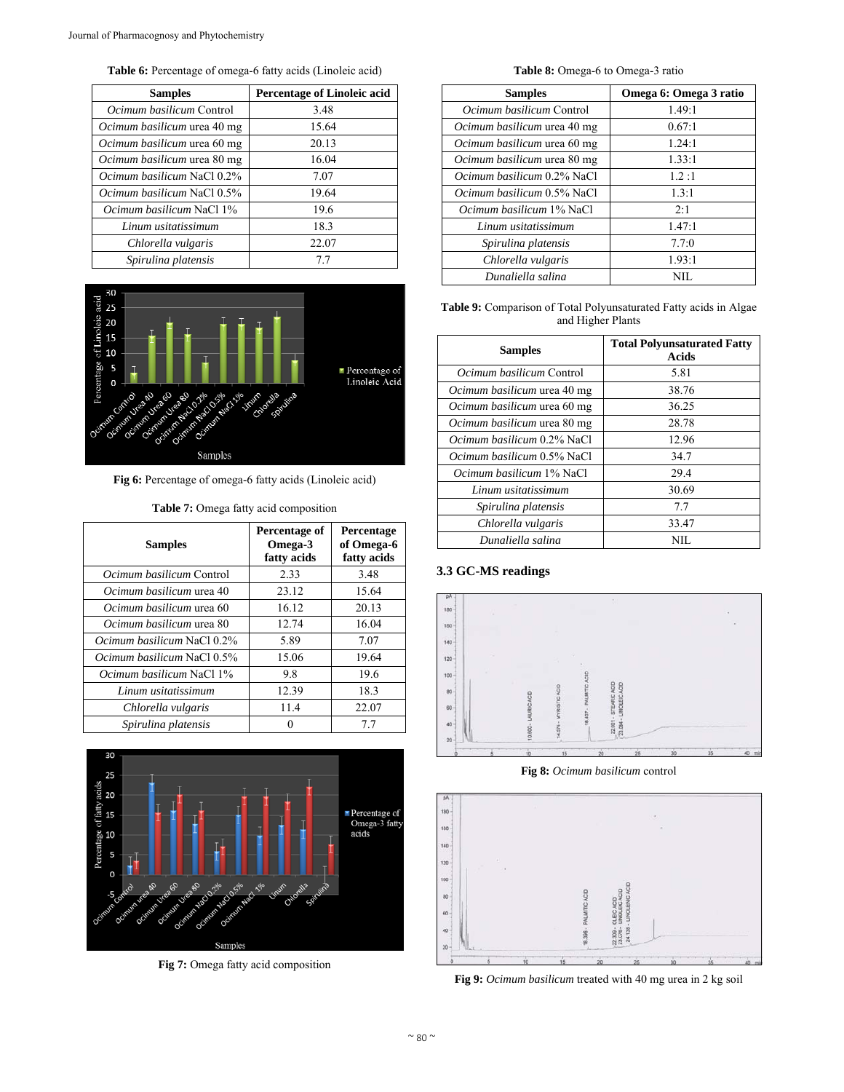**Table 6:** Percentage of omega-6 fatty acids (Linoleic acid)

| <b>Samples</b>                    | <b>Percentage of Linoleic acid</b> |  |
|-----------------------------------|------------------------------------|--|
| <i>Ocimum basilicum</i> Control   | 3.48                               |  |
| Ocimum basilicum urea 40 mg       | 15.64                              |  |
| Ocimum basilicum urea 60 mg       | 20.13                              |  |
| Ocimum basilicum urea 80 mg       | 16.04                              |  |
| Ocimum basilicum NaCl 0.2%        | 7.07                               |  |
| <i>Ocimum basilicum</i> NaCl 0.5% | 19.64                              |  |
| <i>Ocimum basilicum</i> NaCl 1%   | 19.6                               |  |
| Linum usitatissimum               | 18.3                               |  |
| Chlorella vulgaris                | 22.07                              |  |
| Spirulina platensis               | 7.7                                |  |



**Fig 6:** Percentage of omega-6 fatty acids (Linoleic acid)

|  |  |  |  | <b>Table 7:</b> Omega fatty acid composition |
|--|--|--|--|----------------------------------------------|
|--|--|--|--|----------------------------------------------|

| <b>Samples</b>                    | Percentage of<br>Omega-3<br>fatty acids | Percentage<br>of Omega-6<br>fatty acids |
|-----------------------------------|-----------------------------------------|-----------------------------------------|
| <i>Ocimum basilicum</i> Control   | 2.33                                    | 3.48                                    |
| Ocimum basilicum urea 40          | 23.12                                   | 15.64                                   |
| <i>Ocimum basilicum</i> urea 60   | 16.12                                   | 20.13                                   |
| Ocimum basilicum urea 80          | 12.74                                   | 16.04                                   |
| <i>Ocimum basilicum</i> NaCl 0.2% | 5.89                                    | 7.07                                    |
| <i>Ocimum basilicum</i> NaCl 0.5% | 15.06                                   | 19.64                                   |
| <i>Ocimum basilicum</i> NaCl 1%   | 9.8                                     | 19.6                                    |
| Linum usitatissimum               | 12.39                                   | 18.3                                    |
| Chlorella vulgaris                | 11.4                                    | 22.07                                   |
| Spirulina platensis               |                                         | 7.7                                     |



**Fig 7:** Omega fatty acid composition

**Table 8:** Omega-6 to Omega-3 ratio

| <b>Samples</b>                    | Omega 6: Omega 3 ratio |
|-----------------------------------|------------------------|
| <i>Ocimum basilicum</i> Control   | 1.49:1                 |
| Ocimum basilicum urea 40 mg       | 0.67:1                 |
| Ocimum basilicum urea 60 mg       | 1.24:1                 |
| Ocimum basilicum urea 80 mg       | 1.33:1                 |
| <i>Ocimum basilicum</i> 0.2% NaCl | 1.2:1                  |
| <i>Ocimum basilicum</i> 0.5% NaCl | 1.3:1                  |
| <i>Ocimum basilicum</i> 1% NaCl   | 2:1                    |
| Linum usitatissimum               | 1.47:1                 |
| Spirulina platensis               | 7.7:0                  |
| Chlorella vulgaris                | 1.93:1                 |
| Dunaliella salina                 | NH.                    |

**Table 9:** Comparison of Total Polyunsaturated Fatty acids in Algae and Higher Plants

| <b>Samples</b>                    | <b>Total Polyunsaturated Fatty</b><br><b>Acids</b> |
|-----------------------------------|----------------------------------------------------|
| <i>Ocimum basilicum</i> Control   | 5.81                                               |
| Ocimum basilicum urea 40 mg       | 38.76                                              |
| Ocimum basilicum urea 60 mg       | 36.25                                              |
| Ocimum basilicum urea 80 mg       | 28.78                                              |
| <i>Ocimum basilicum</i> 0.2% NaCl | 12.96                                              |
| <i>Ocimum basilicum</i> 0.5% NaCl | 34.7                                               |
| <i>Ocimum basilicum</i> 1% NaCl   | 29.4                                               |
| Linum usitatissimum               | 30.69                                              |
| Spirulina platensis               | 7.7                                                |
| Chlorella vulgaris                | 33.47                                              |
| Dunaliella salina                 | NH.                                                |

## **3.3 GC-MS readings**



**Fig 8:** *Ocimum basilicum* control



**Fig 9:** *Ocimum basilicum* treated with 40 mg urea in 2 kg soil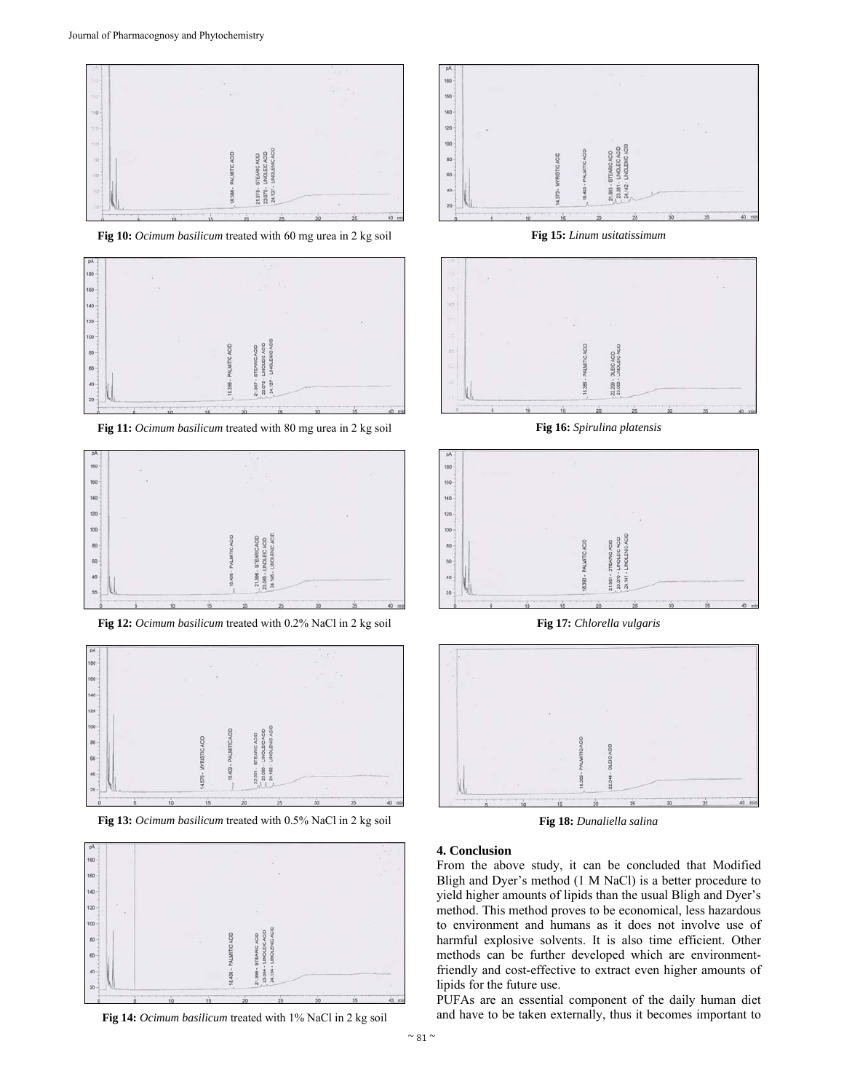

**Fig 10:** *Ocimum basilicum* treated with 60 mg urea in 2 kg soil



**Fig 11:** *Ocimum basilicum* treated with 80 mg urea in 2 kg soil



**Fig 12:** *Ocimum basilicum* treated with 0.2% NaCl in 2 kg soil



**Fig 13:** *Ocimum basilicum* treated with 0.5% NaCl in 2 kg soil



**Fig 14:** *Ocimum basilicum* treated with 1% NaCl in 2 kg soil



**Fig 15:** *Linum usitatissimum*



**Fig 16:** *Spirulina platensis*



**Fig 17:** *Chlorella vulgaris*



**Fig 18:** *Dunaliella salina*

#### **4. Conclusion**

From the above study, it can be concluded that Modified Bligh and Dyer's method (1 M NaCl) is a better procedure to yield higher amounts of lipids than the usual Bligh and Dyer's method. This method proves to be economical, less hazardous to environment and humans as it does not involve use of harmful explosive solvents. It is also time efficient. Other methods can be further developed which are environmentfriendly and cost-effective to extract even higher amounts of lipids for the future use.

PUFAs are an essential component of the daily human diet and have to be taken externally, thus it becomes important to